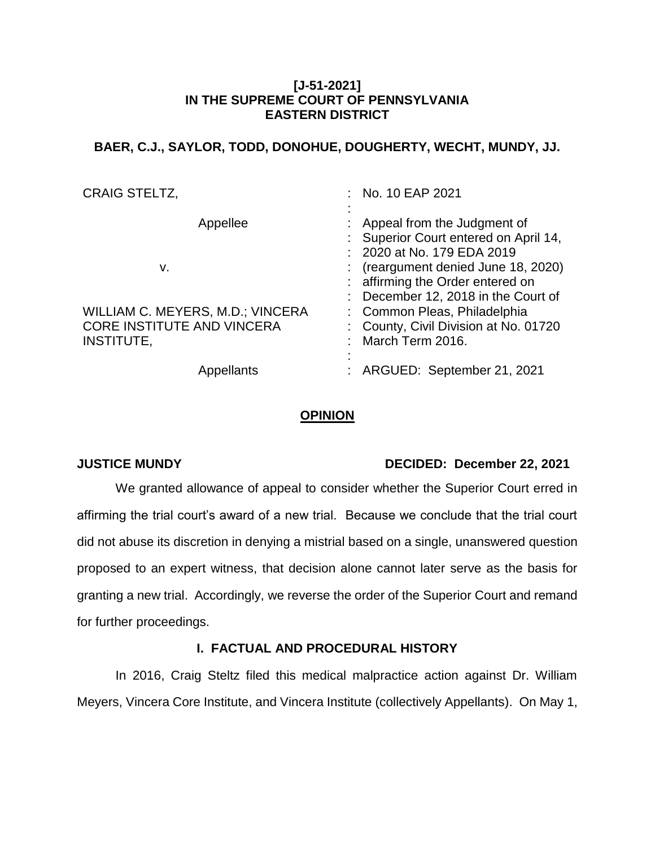# **[J-51-2021] IN THE SUPREME COURT OF PENNSYLVANIA EASTERN DISTRICT**

# **BAER, C.J., SAYLOR, TODD, DONOHUE, DOUGHERTY, WECHT, MUNDY, JJ.**

| <b>CRAIG STELTZ,</b>              | : No. 10 EAP 2021                     |
|-----------------------------------|---------------------------------------|
|                                   |                                       |
| Appellee                          | : Appeal from the Judgment of         |
|                                   | : Superior Court entered on April 14, |
|                                   | : 2020 at No. 179 EDA 2019            |
| v.                                | $:$ (reargument denied June 18, 2020) |
|                                   | : affirming the Order entered on      |
|                                   | December 12, 2018 in the Court of     |
| WILLIAM C. MEYERS, M.D.; VINCERA  | : Common Pleas, Philadelphia          |
| <b>CORE INSTITUTE AND VINCERA</b> | : County, Civil Division at No. 01720 |
| INSTITUTE,                        | : March Term 2016.                    |
| Appellants                        | : ARGUED: September 21, 2021          |
|                                   |                                       |

#### **OPINION**

# **JUSTICE MUNDY DECIDED: December 22, 2021**

We granted allowance of appeal to consider whether the Superior Court erred in affirming the trial court's award of a new trial. Because we conclude that the trial court did not abuse its discretion in denying a mistrial based on a single, unanswered question proposed to an expert witness, that decision alone cannot later serve as the basis for granting a new trial. Accordingly, we reverse the order of the Superior Court and remand for further proceedings.

# **I. FACTUAL AND PROCEDURAL HISTORY**

In 2016, Craig Steltz filed this medical malpractice action against Dr. William Meyers, Vincera Core Institute, and Vincera Institute (collectively Appellants). On May 1,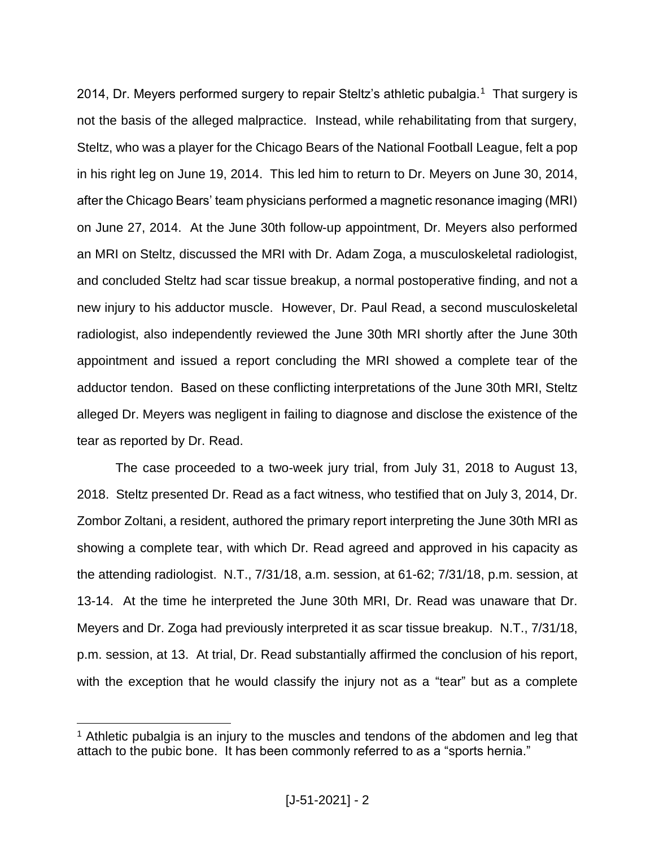2014, Dr. Meyers performed surgery to repair Steltz's athletic pubalgia.<sup>1</sup> That surgery is not the basis of the alleged malpractice. Instead, while rehabilitating from that surgery, Steltz, who was a player for the Chicago Bears of the National Football League, felt a pop in his right leg on June 19, 2014. This led him to return to Dr. Meyers on June 30, 2014, after the Chicago Bears' team physicians performed a magnetic resonance imaging (MRI) on June 27, 2014. At the June 30th follow-up appointment, Dr. Meyers also performed an MRI on Steltz, discussed the MRI with Dr. Adam Zoga, a musculoskeletal radiologist, and concluded Steltz had scar tissue breakup, a normal postoperative finding, and not a new injury to his adductor muscle. However, Dr. Paul Read, a second musculoskeletal radiologist, also independently reviewed the June 30th MRI shortly after the June 30th appointment and issued a report concluding the MRI showed a complete tear of the adductor tendon. Based on these conflicting interpretations of the June 30th MRI, Steltz alleged Dr. Meyers was negligent in failing to diagnose and disclose the existence of the tear as reported by Dr. Read.

The case proceeded to a two-week jury trial, from July 31, 2018 to August 13, 2018. Steltz presented Dr. Read as a fact witness, who testified that on July 3, 2014, Dr. Zombor Zoltani, a resident, authored the primary report interpreting the June 30th MRI as showing a complete tear, with which Dr. Read agreed and approved in his capacity as the attending radiologist. N.T., 7/31/18, a.m. session, at 61-62; 7/31/18, p.m. session, at 13-14. At the time he interpreted the June 30th MRI, Dr. Read was unaware that Dr. Meyers and Dr. Zoga had previously interpreted it as scar tissue breakup. N.T., 7/31/18, p.m. session, at 13. At trial, Dr. Read substantially affirmed the conclusion of his report, with the exception that he would classify the injury not as a "tear" but as a complete

 $\overline{a}$ 

 $1$  Athletic pubalgia is an injury to the muscles and tendons of the abdomen and leg that attach to the pubic bone. It has been commonly referred to as a "sports hernia."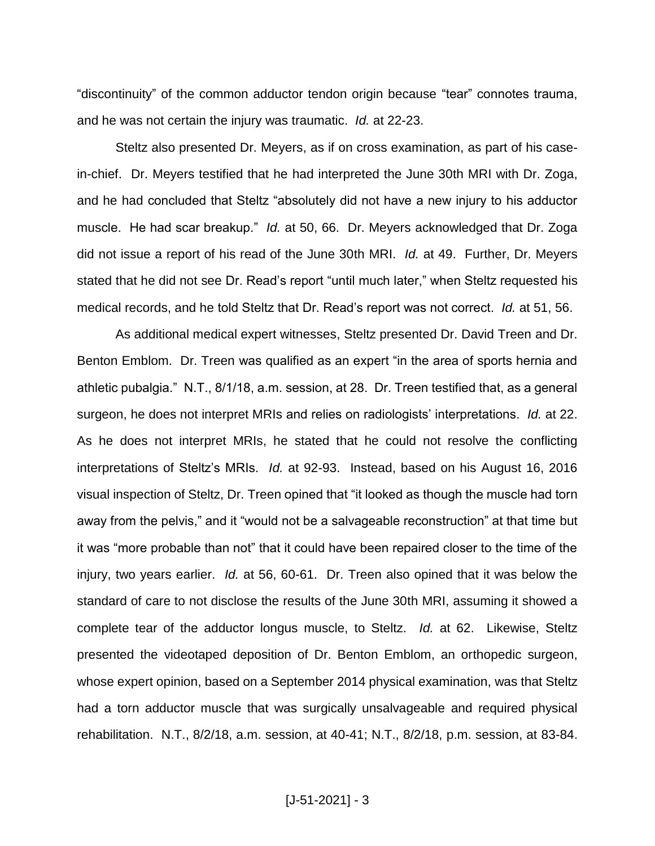"discontinuity" of the common adductor tendon origin because "tear" connotes trauma, and he was not certain the injury was traumatic. *Id.* at 22-23.

Steltz also presented Dr. Meyers, as if on cross examination, as part of his casein-chief. Dr. Meyers testified that he had interpreted the June 30th MRI with Dr. Zoga, and he had concluded that Steltz "absolutely did not have a new injury to his adductor muscle. He had scar breakup." *Id.* at 50, 66. Dr. Meyers acknowledged that Dr. Zoga did not issue a report of his read of the June 30th MRI. *Id.* at 49. Further, Dr. Meyers stated that he did not see Dr. Read's report "until much later," when Steltz requested his medical records, and he told Steltz that Dr. Read's report was not correct. *Id.* at 51, 56.

As additional medical expert witnesses, Steltz presented Dr. David Treen and Dr. Benton Emblom. Dr. Treen was qualified as an expert "in the area of sports hernia and athletic pubalgia." N.T., 8/1/18, a.m. session, at 28. Dr. Treen testified that, as a general surgeon, he does not interpret MRIs and relies on radiologists' interpretations. *Id.* at 22. As he does not interpret MRIs, he stated that he could not resolve the conflicting interpretations of Steltz's MRIs. *Id.* at 92-93. Instead, based on his August 16, 2016 visual inspection of Steltz, Dr. Treen opined that "it looked as though the muscle had torn away from the pelvis," and it "would not be a salvageable reconstruction" at that time but it was "more probable than not" that it could have been repaired closer to the time of the injury, two years earlier. *Id.* at 56, 60-61. Dr. Treen also opined that it was below the standard of care to not disclose the results of the June 30th MRI, assuming it showed a complete tear of the adductor longus muscle, to Steltz. *Id.* at 62. Likewise, Steltz presented the videotaped deposition of Dr. Benton Emblom, an orthopedic surgeon, whose expert opinion, based on a September 2014 physical examination, was that Steltz had a torn adductor muscle that was surgically unsalvageable and required physical rehabilitation. N.T., 8/2/18, a.m. session, at 40-41; N.T., 8/2/18, p.m. session, at 83-84.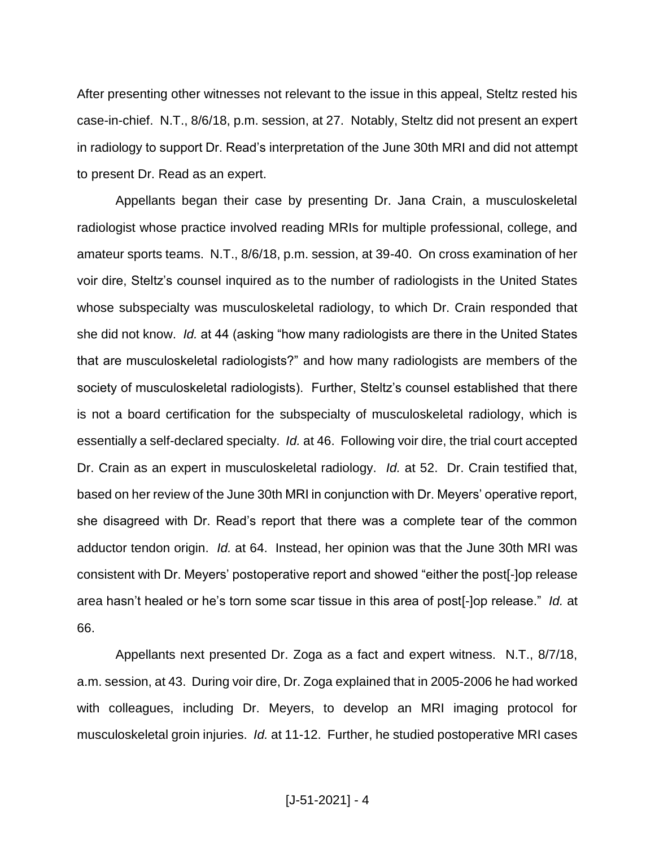After presenting other witnesses not relevant to the issue in this appeal, Steltz rested his case-in-chief. N.T., 8/6/18, p.m. session, at 27. Notably, Steltz did not present an expert in radiology to support Dr. Read's interpretation of the June 30th MRI and did not attempt to present Dr. Read as an expert.

Appellants began their case by presenting Dr. Jana Crain, a musculoskeletal radiologist whose practice involved reading MRIs for multiple professional, college, and amateur sports teams. N.T., 8/6/18, p.m. session, at 39-40. On cross examination of her voir dire, Steltz's counsel inquired as to the number of radiologists in the United States whose subspecialty was musculoskeletal radiology, to which Dr. Crain responded that she did not know. *Id.* at 44 (asking "how many radiologists are there in the United States that are musculoskeletal radiologists?" and how many radiologists are members of the society of musculoskeletal radiologists). Further, Steltz's counsel established that there is not a board certification for the subspecialty of musculoskeletal radiology, which is essentially a self-declared specialty. *Id.* at 46. Following voir dire, the trial court accepted Dr. Crain as an expert in musculoskeletal radiology. *Id.* at 52. Dr. Crain testified that, based on her review of the June 30th MRI in conjunction with Dr. Meyers' operative report, she disagreed with Dr. Read's report that there was a complete tear of the common adductor tendon origin. *Id.* at 64. Instead, her opinion was that the June 30th MRI was consistent with Dr. Meyers' postoperative report and showed "either the post[-]op release area hasn't healed or he's torn some scar tissue in this area of post[-]op release." *Id.* at 66.

Appellants next presented Dr. Zoga as a fact and expert witness. N.T., 8/7/18, a.m. session, at 43. During voir dire, Dr. Zoga explained that in 2005-2006 he had worked with colleagues, including Dr. Meyers, to develop an MRI imaging protocol for musculoskeletal groin injuries. *Id.* at 11-12. Further, he studied postoperative MRI cases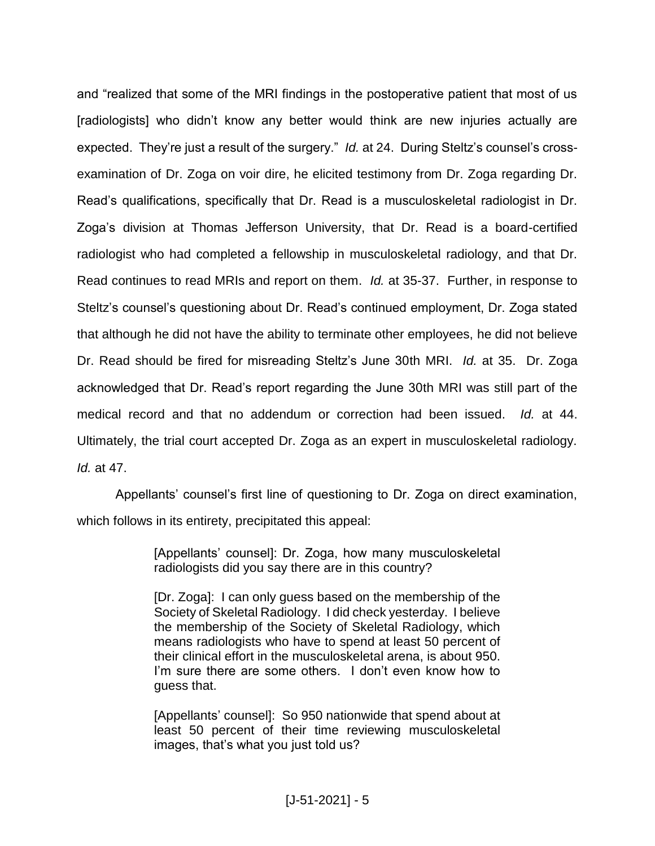and "realized that some of the MRI findings in the postoperative patient that most of us [radiologists] who didn't know any better would think are new injuries actually are expected. They're just a result of the surgery." *Id.* at 24. During Steltz's counsel's crossexamination of Dr. Zoga on voir dire, he elicited testimony from Dr. Zoga regarding Dr. Read's qualifications, specifically that Dr. Read is a musculoskeletal radiologist in Dr. Zoga's division at Thomas Jefferson University, that Dr. Read is a board-certified radiologist who had completed a fellowship in musculoskeletal radiology, and that Dr. Read continues to read MRIs and report on them. *Id.* at 35-37. Further, in response to Steltz's counsel's questioning about Dr. Read's continued employment, Dr. Zoga stated that although he did not have the ability to terminate other employees, he did not believe Dr. Read should be fired for misreading Steltz's June 30th MRI. *Id.* at 35. Dr. Zoga acknowledged that Dr. Read's report regarding the June 30th MRI was still part of the medical record and that no addendum or correction had been issued. *Id.* at 44. Ultimately, the trial court accepted Dr. Zoga as an expert in musculoskeletal radiology. *Id.* at 47.

Appellants' counsel's first line of questioning to Dr. Zoga on direct examination, which follows in its entirety, precipitated this appeal:

> [Appellants' counsel]: Dr. Zoga, how many musculoskeletal radiologists did you say there are in this country?

> [Dr. Zoga]: I can only guess based on the membership of the Society of Skeletal Radiology. I did check yesterday. I believe the membership of the Society of Skeletal Radiology, which means radiologists who have to spend at least 50 percent of their clinical effort in the musculoskeletal arena, is about 950. I'm sure there are some others. I don't even know how to guess that.

> [Appellants' counsel]: So 950 nationwide that spend about at least 50 percent of their time reviewing musculoskeletal images, that's what you just told us?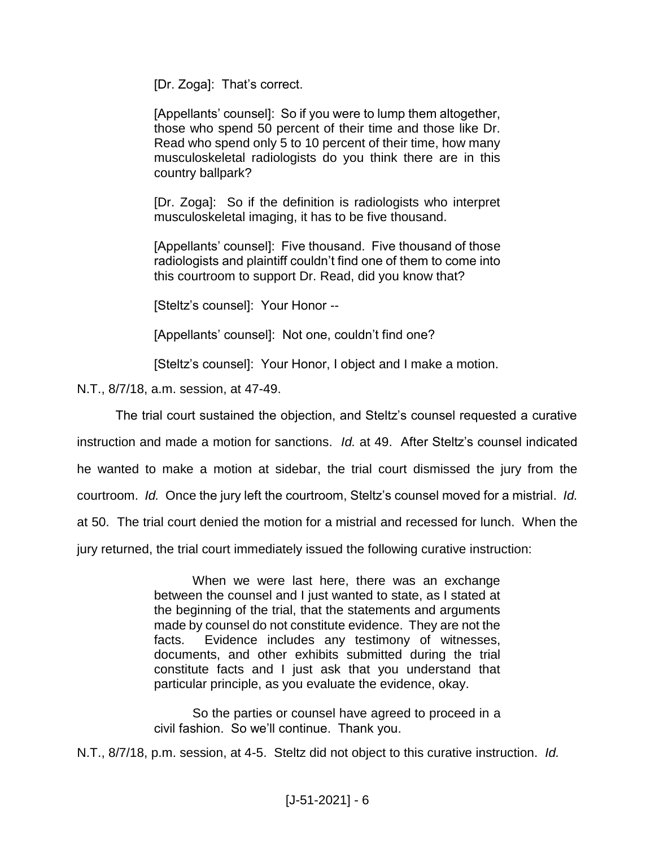[Dr. Zoga]: That's correct.

[Appellants' counsel]: So if you were to lump them altogether, those who spend 50 percent of their time and those like Dr. Read who spend only 5 to 10 percent of their time, how many musculoskeletal radiologists do you think there are in this country ballpark?

[Dr. Zoga]: So if the definition is radiologists who interpret musculoskeletal imaging, it has to be five thousand.

[Appellants' counsel]: Five thousand. Five thousand of those radiologists and plaintiff couldn't find one of them to come into this courtroom to support Dr. Read, did you know that?

[Steltz's counsel]: Your Honor --

[Appellants' counsel]: Not one, couldn't find one?

[Steltz's counsel]: Your Honor, I object and I make a motion.

N.T., 8/7/18, a.m. session, at 47-49.

The trial court sustained the objection, and Steltz's counsel requested a curative instruction and made a motion for sanctions. *Id.* at 49. After Steltz's counsel indicated he wanted to make a motion at sidebar, the trial court dismissed the jury from the courtroom. *Id.* Once the jury left the courtroom, Steltz's counsel moved for a mistrial. *Id.* at 50. The trial court denied the motion for a mistrial and recessed for lunch. When the jury returned, the trial court immediately issued the following curative instruction:

> When we were last here, there was an exchange between the counsel and I just wanted to state, as I stated at the beginning of the trial, that the statements and arguments made by counsel do not constitute evidence. They are not the facts. Evidence includes any testimony of witnesses, documents, and other exhibits submitted during the trial constitute facts and I just ask that you understand that particular principle, as you evaluate the evidence, okay.

> So the parties or counsel have agreed to proceed in a civil fashion. So we'll continue. Thank you.

N.T., 8/7/18, p.m. session, at 4-5. Steltz did not object to this curative instruction. *Id.*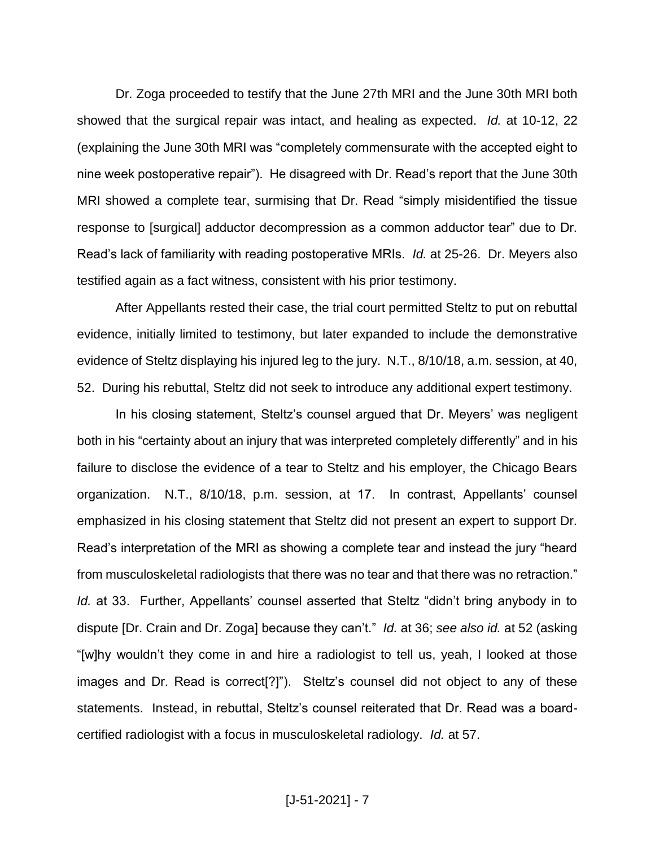Dr. Zoga proceeded to testify that the June 27th MRI and the June 30th MRI both showed that the surgical repair was intact, and healing as expected. *Id.* at 10-12, 22 (explaining the June 30th MRI was "completely commensurate with the accepted eight to nine week postoperative repair"). He disagreed with Dr. Read's report that the June 30th MRI showed a complete tear, surmising that Dr. Read "simply misidentified the tissue response to [surgical] adductor decompression as a common adductor tear" due to Dr. Read's lack of familiarity with reading postoperative MRIs. *Id.* at 25-26. Dr. Meyers also testified again as a fact witness, consistent with his prior testimony.

After Appellants rested their case, the trial court permitted Steltz to put on rebuttal evidence, initially limited to testimony, but later expanded to include the demonstrative evidence of Steltz displaying his injured leg to the jury. N.T., 8/10/18, a.m. session, at 40, 52. During his rebuttal, Steltz did not seek to introduce any additional expert testimony.

In his closing statement, Steltz's counsel argued that Dr. Meyers' was negligent both in his "certainty about an injury that was interpreted completely differently" and in his failure to disclose the evidence of a tear to Steltz and his employer, the Chicago Bears organization. N.T., 8/10/18, p.m. session, at 17. In contrast, Appellants' counsel emphasized in his closing statement that Steltz did not present an expert to support Dr. Read's interpretation of the MRI as showing a complete tear and instead the jury "heard from musculoskeletal radiologists that there was no tear and that there was no retraction." *Id.* at 33. Further, Appellants' counsel asserted that Steltz "didn't bring anybody in to dispute [Dr. Crain and Dr. Zoga] because they can't." *Id.* at 36; *see also id.* at 52 (asking "[w]hy wouldn't they come in and hire a radiologist to tell us, yeah, I looked at those images and Dr. Read is correct[?]"). Steltz's counsel did not object to any of these statements. Instead, in rebuttal, Steltz's counsel reiterated that Dr. Read was a boardcertified radiologist with a focus in musculoskeletal radiology. *Id.* at 57.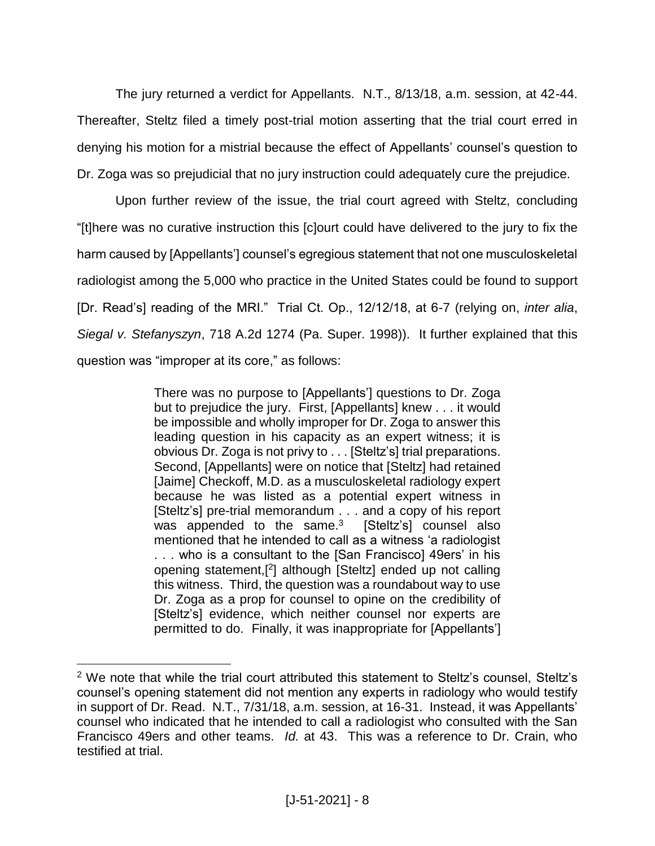The jury returned a verdict for Appellants. N.T., 8/13/18, a.m. session, at 42-44. Thereafter, Steltz filed a timely post-trial motion asserting that the trial court erred in denying his motion for a mistrial because the effect of Appellants' counsel's question to Dr. Zoga was so prejudicial that no jury instruction could adequately cure the prejudice.

Upon further review of the issue, the trial court agreed with Steltz, concluding "[t]here was no curative instruction this [c]ourt could have delivered to the jury to fix the harm caused by [Appellants'] counsel's egregious statement that not one musculoskeletal radiologist among the 5,000 who practice in the United States could be found to support [Dr. Read's] reading of the MRI." Trial Ct. Op., 12/12/18, at 6-7 (relying on, *inter alia*, *Siegal v. Stefanyszyn*, 718 A.2d 1274 (Pa. Super. 1998)). It further explained that this question was "improper at its core," as follows:

> There was no purpose to [Appellants'] questions to Dr. Zoga but to prejudice the jury. First, [Appellants] knew . . . it would be impossible and wholly improper for Dr. Zoga to answer this leading question in his capacity as an expert witness; it is obvious Dr. Zoga is not privy to . . . [Steltz's] trial preparations. Second, [Appellants] were on notice that [Steltz] had retained [Jaime] Checkoff, M.D. as a musculoskeletal radiology expert because he was listed as a potential expert witness in [Steltz's] pre-trial memorandum . . . and a copy of his report was appended to the same. $3$  [Steltz's] counsel also mentioned that he intended to call as a witness 'a radiologist . . . who is a consultant to the [San Francisco] 49ers' in his opening statement,[ 2 ] although [Steltz] ended up not calling this witness. Third, the question was a roundabout way to use Dr. Zoga as a prop for counsel to opine on the credibility of [Steltz's] evidence, which neither counsel nor experts are permitted to do. Finally, it was inappropriate for [Appellants']

 $\overline{a}$ 

<sup>2</sup> We note that while the trial court attributed this statement to Steltz's counsel, Steltz's counsel's opening statement did not mention any experts in radiology who would testify in support of Dr. Read. N.T., 7/31/18, a.m. session, at 16-31. Instead, it was Appellants' counsel who indicated that he intended to call a radiologist who consulted with the San Francisco 49ers and other teams. *Id.* at 43. This was a reference to Dr. Crain, who testified at trial.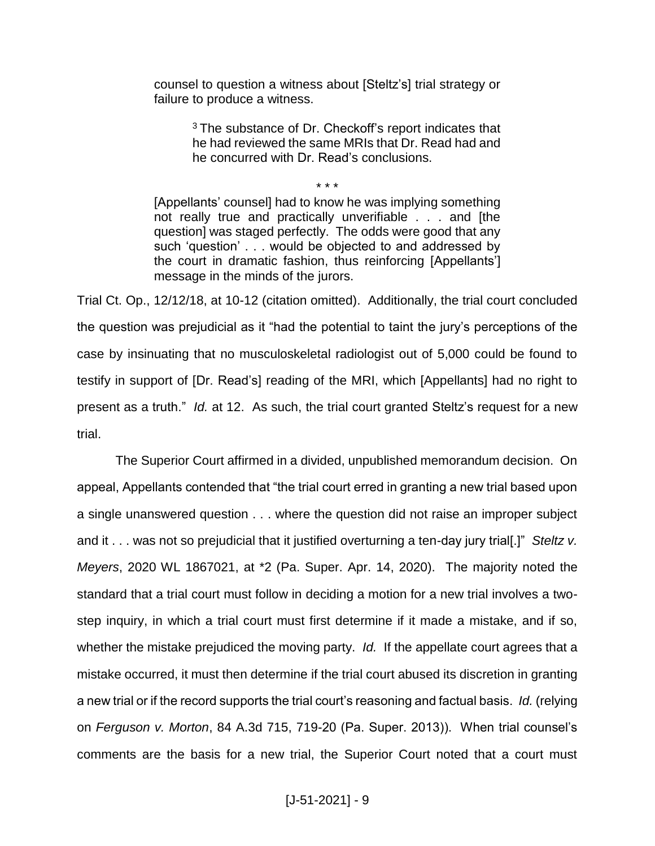counsel to question a witness about [Steltz's] trial strategy or failure to produce a witness.

> <sup>3</sup> The substance of Dr. Checkoff's report indicates that he had reviewed the same MRIs that Dr. Read had and he concurred with Dr. Read's conclusions.

[Appellants' counsel] had to know he was implying something not really true and practically unverifiable . . . and [the question] was staged perfectly. The odds were good that any such 'question' . . . would be objected to and addressed by the court in dramatic fashion, thus reinforcing [Appellants'] message in the minds of the jurors.

\* \* \*

Trial Ct. Op., 12/12/18, at 10-12 (citation omitted). Additionally, the trial court concluded the question was prejudicial as it "had the potential to taint the jury's perceptions of the case by insinuating that no musculoskeletal radiologist out of 5,000 could be found to testify in support of [Dr. Read's] reading of the MRI, which [Appellants] had no right to present as a truth." *Id.* at 12. As such, the trial court granted Steltz's request for a new trial.

The Superior Court affirmed in a divided, unpublished memorandum decision. On appeal, Appellants contended that "the trial court erred in granting a new trial based upon a single unanswered question . . . where the question did not raise an improper subject and it . . . was not so prejudicial that it justified overturning a ten-day jury trial[.]" *Steltz v. Meyers*, 2020 WL 1867021, at \*2 (Pa. Super. Apr. 14, 2020). The majority noted the standard that a trial court must follow in deciding a motion for a new trial involves a twostep inquiry, in which a trial court must first determine if it made a mistake, and if so, whether the mistake prejudiced the moving party. *Id.* If the appellate court agrees that a mistake occurred, it must then determine if the trial court abused its discretion in granting a new trial or if the record supports the trial court's reasoning and factual basis. *Id.* (relying on *Ferguson v. Morton*, 84 A.3d 715, 719-20 (Pa. Super. 2013)). When trial counsel's comments are the basis for a new trial, the Superior Court noted that a court must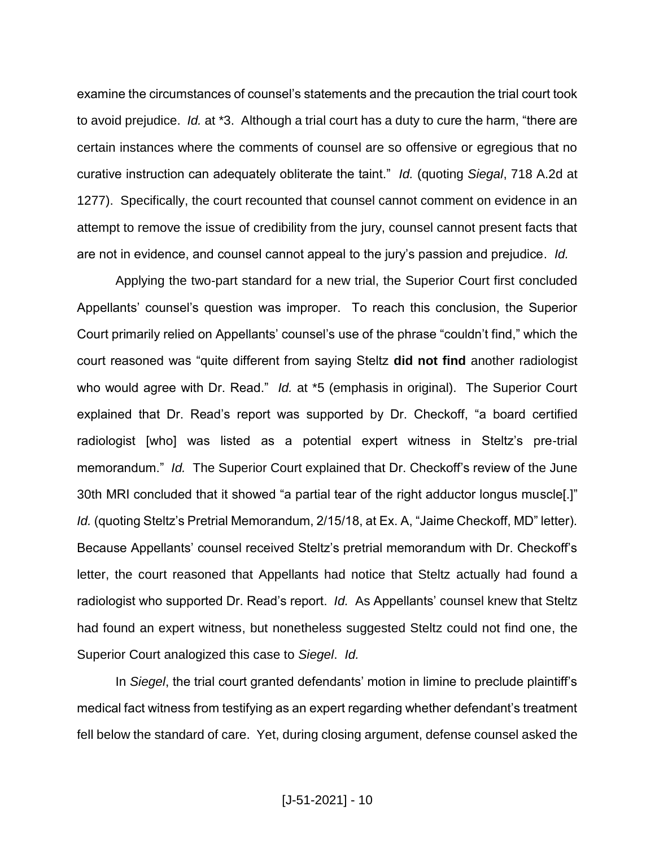examine the circumstances of counsel's statements and the precaution the trial court took to avoid prejudice. *Id.* at \*3. Although a trial court has a duty to cure the harm, "there are certain instances where the comments of counsel are so offensive or egregious that no curative instruction can adequately obliterate the taint." *Id.* (quoting *Siegal*, 718 A.2d at 1277). Specifically, the court recounted that counsel cannot comment on evidence in an attempt to remove the issue of credibility from the jury, counsel cannot present facts that are not in evidence, and counsel cannot appeal to the jury's passion and prejudice. *Id.*

Applying the two-part standard for a new trial, the Superior Court first concluded Appellants' counsel's question was improper. To reach this conclusion, the Superior Court primarily relied on Appellants' counsel's use of the phrase "couldn't find," which the court reasoned was "quite different from saying Steltz **did not find** another radiologist who would agree with Dr. Read." *Id.* at \*5 (emphasis in original). The Superior Court explained that Dr. Read's report was supported by Dr. Checkoff, "a board certified radiologist [who] was listed as a potential expert witness in Steltz's pre-trial memorandum." *Id.* The Superior Court explained that Dr. Checkoff's review of the June 30th MRI concluded that it showed "a partial tear of the right adductor longus muscle[.]" *Id.* (quoting Steltz's Pretrial Memorandum, 2/15/18, at Ex. A, "Jaime Checkoff, MD" letter). Because Appellants' counsel received Steltz's pretrial memorandum with Dr. Checkoff's letter, the court reasoned that Appellants had notice that Steltz actually had found a radiologist who supported Dr. Read's report. *Id.* As Appellants' counsel knew that Steltz had found an expert witness, but nonetheless suggested Steltz could not find one, the Superior Court analogized this case to *Siegel*. *Id.*

In *Siegel*, the trial court granted defendants' motion in limine to preclude plaintiff's medical fact witness from testifying as an expert regarding whether defendant's treatment fell below the standard of care. Yet, during closing argument, defense counsel asked the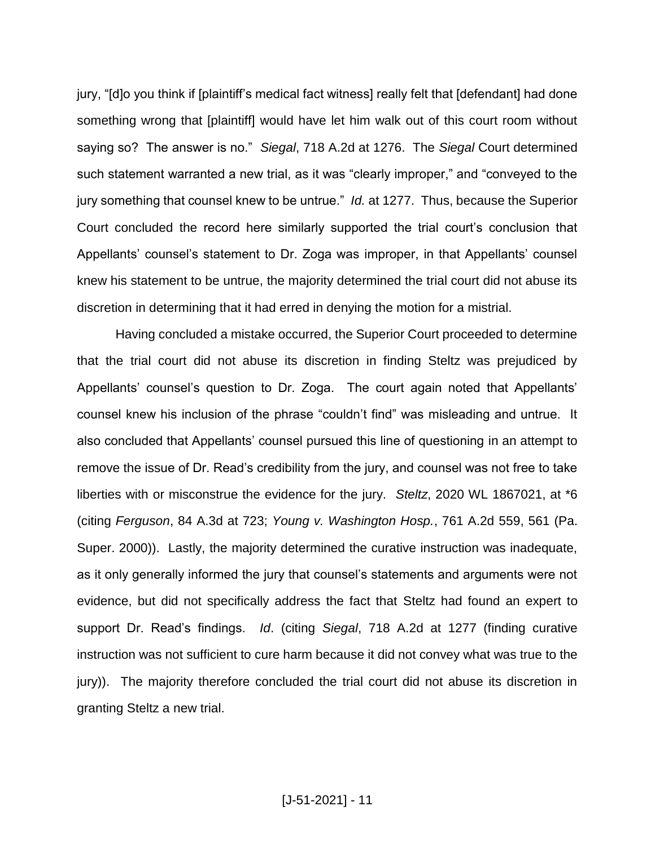jury, "[d]o you think if [plaintiff's medical fact witness] really felt that [defendant] had done something wrong that [plaintiff] would have let him walk out of this court room without saying so? The answer is no." *Siegal*, 718 A.2d at 1276. The *Siegal* Court determined such statement warranted a new trial, as it was "clearly improper," and "conveyed to the jury something that counsel knew to be untrue." *Id.* at 1277. Thus, because the Superior Court concluded the record here similarly supported the trial court's conclusion that Appellants' counsel's statement to Dr. Zoga was improper, in that Appellants' counsel knew his statement to be untrue, the majority determined the trial court did not abuse its discretion in determining that it had erred in denying the motion for a mistrial.

Having concluded a mistake occurred, the Superior Court proceeded to determine that the trial court did not abuse its discretion in finding Steltz was prejudiced by Appellants' counsel's question to Dr. Zoga. The court again noted that Appellants' counsel knew his inclusion of the phrase "couldn't find" was misleading and untrue. It also concluded that Appellants' counsel pursued this line of questioning in an attempt to remove the issue of Dr. Read's credibility from the jury, and counsel was not free to take liberties with or misconstrue the evidence for the jury. *Steltz*, 2020 WL 1867021, at \*6 (citing *Ferguson*, 84 A.3d at 723; *Young v. Washington Hosp.*, 761 A.2d 559, 561 (Pa. Super. 2000)). Lastly, the majority determined the curative instruction was inadequate, as it only generally informed the jury that counsel's statements and arguments were not evidence, but did not specifically address the fact that Steltz had found an expert to support Dr. Read's findings. *Id*. (citing *Siegal*, 718 A.2d at 1277 (finding curative instruction was not sufficient to cure harm because it did not convey what was true to the jury)). The majority therefore concluded the trial court did not abuse its discretion in granting Steltz a new trial.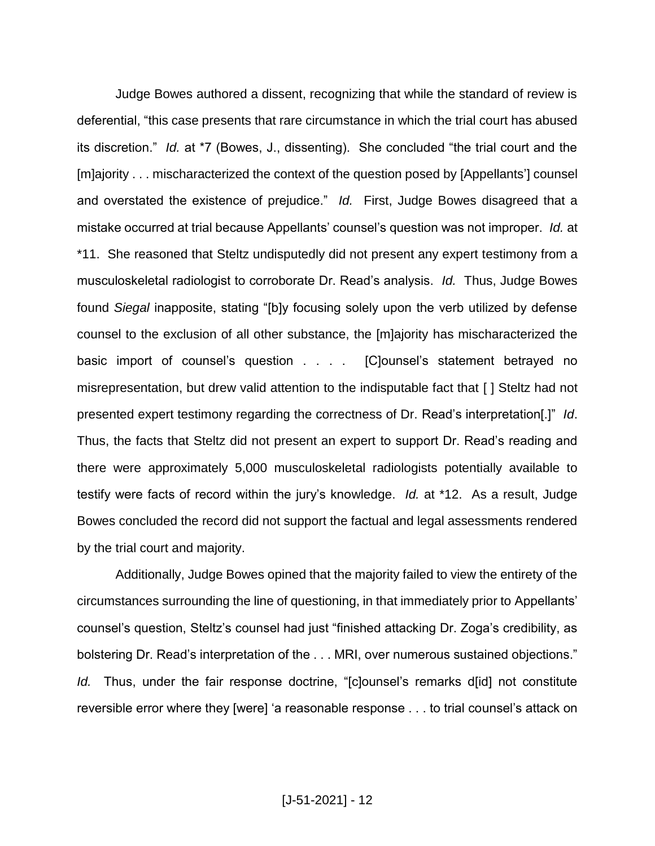Judge Bowes authored a dissent, recognizing that while the standard of review is deferential, "this case presents that rare circumstance in which the trial court has abused its discretion." *Id.* at \*7 (Bowes, J., dissenting). She concluded "the trial court and the [m]ajority . . . mischaracterized the context of the question posed by [Appellants'] counsel and overstated the existence of prejudice." *Id.* First, Judge Bowes disagreed that a mistake occurred at trial because Appellants' counsel's question was not improper. *Id.* at \*11. She reasoned that Steltz undisputedly did not present any expert testimony from a musculoskeletal radiologist to corroborate Dr. Read's analysis. *Id.* Thus, Judge Bowes found *Siegal* inapposite, stating "[b]y focusing solely upon the verb utilized by defense counsel to the exclusion of all other substance, the [m]ajority has mischaracterized the basic import of counsel's question . . . . [C]ounsel's statement betrayed no misrepresentation, but drew valid attention to the indisputable fact that [ ] Steltz had not presented expert testimony regarding the correctness of Dr. Read's interpretation[.]" *Id*. Thus, the facts that Steltz did not present an expert to support Dr. Read's reading and there were approximately 5,000 musculoskeletal radiologists potentially available to testify were facts of record within the jury's knowledge. *Id.* at \*12. As a result, Judge Bowes concluded the record did not support the factual and legal assessments rendered by the trial court and majority.

Additionally, Judge Bowes opined that the majority failed to view the entirety of the circumstances surrounding the line of questioning, in that immediately prior to Appellants' counsel's question, Steltz's counsel had just "finished attacking Dr. Zoga's credibility, as bolstering Dr. Read's interpretation of the . . . MRI, over numerous sustained objections." *Id.* Thus, under the fair response doctrine, "[c]ounsel's remarks d[id] not constitute reversible error where they [were] 'a reasonable response . . . to trial counsel's attack on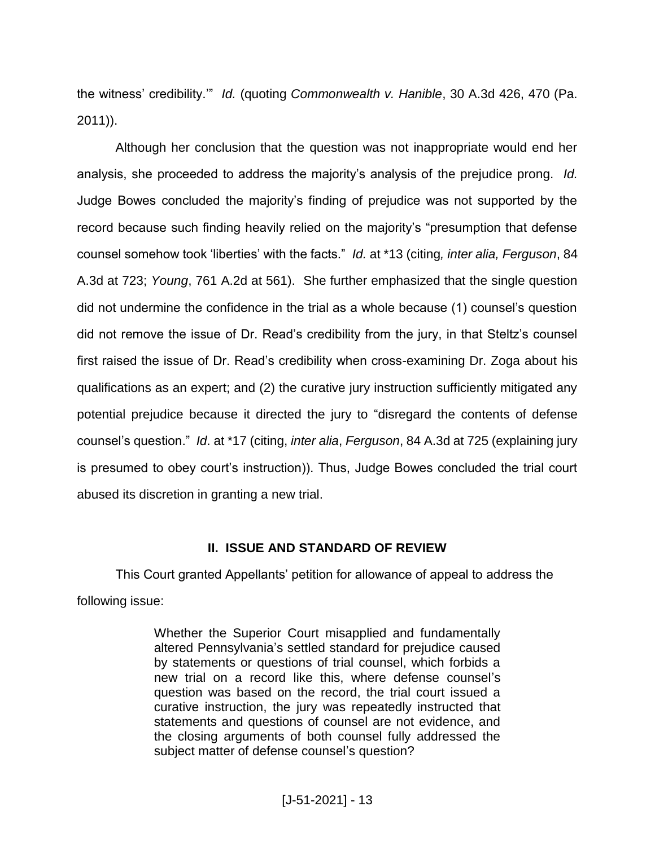the witness' credibility.'" *Id.* (quoting *Commonwealth v. Hanible*, 30 A.3d 426, 470 (Pa. 2011)).

Although her conclusion that the question was not inappropriate would end her analysis, she proceeded to address the majority's analysis of the prejudice prong. *Id.* Judge Bowes concluded the majority's finding of prejudice was not supported by the record because such finding heavily relied on the majority's "presumption that defense counsel somehow took 'liberties' with the facts." *Id.* at \*13 (citing*, inter alia, Ferguson*, 84 A.3d at 723; *Young*, 761 A.2d at 561). She further emphasized that the single question did not undermine the confidence in the trial as a whole because (1) counsel's question did not remove the issue of Dr. Read's credibility from the jury, in that Steltz's counsel first raised the issue of Dr. Read's credibility when cross-examining Dr. Zoga about his qualifications as an expert; and (2) the curative jury instruction sufficiently mitigated any potential prejudice because it directed the jury to "disregard the contents of defense counsel's question." *Id*. at \*17 (citing, *inter alia*, *Ferguson*, 84 A.3d at 725 (explaining jury is presumed to obey court's instruction)). Thus, Judge Bowes concluded the trial court abused its discretion in granting a new trial.

## **II. ISSUE AND STANDARD OF REVIEW**

This Court granted Appellants' petition for allowance of appeal to address the following issue:

> Whether the Superior Court misapplied and fundamentally altered Pennsylvania's settled standard for prejudice caused by statements or questions of trial counsel, which forbids a new trial on a record like this, where defense counsel's question was based on the record, the trial court issued a curative instruction, the jury was repeatedly instructed that statements and questions of counsel are not evidence, and the closing arguments of both counsel fully addressed the subject matter of defense counsel's question?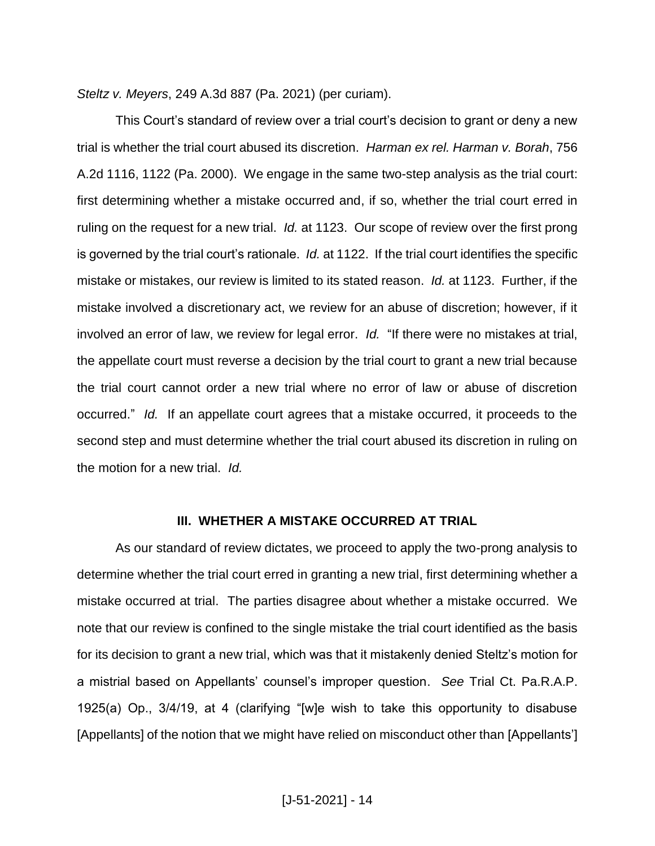*Steltz v. Meyers*, 249 A.3d 887 (Pa. 2021) (per curiam).

This Court's standard of review over a trial court's decision to grant or deny a new trial is whether the trial court abused its discretion. *Harman ex rel. Harman v. Borah*, 756 A.2d 1116, 1122 (Pa. 2000). We engage in the same two-step analysis as the trial court: first determining whether a mistake occurred and, if so, whether the trial court erred in ruling on the request for a new trial. *Id.* at 1123. Our scope of review over the first prong is governed by the trial court's rationale. *Id.* at 1122. If the trial court identifies the specific mistake or mistakes, our review is limited to its stated reason. *Id.* at 1123. Further, if the mistake involved a discretionary act, we review for an abuse of discretion; however, if it involved an error of law, we review for legal error. *Id.* "If there were no mistakes at trial, the appellate court must reverse a decision by the trial court to grant a new trial because the trial court cannot order a new trial where no error of law or abuse of discretion occurred." *Id.* If an appellate court agrees that a mistake occurred, it proceeds to the second step and must determine whether the trial court abused its discretion in ruling on the motion for a new trial. *Id.*

#### **III. WHETHER A MISTAKE OCCURRED AT TRIAL**

As our standard of review dictates, we proceed to apply the two-prong analysis to determine whether the trial court erred in granting a new trial, first determining whether a mistake occurred at trial. The parties disagree about whether a mistake occurred. We note that our review is confined to the single mistake the trial court identified as the basis for its decision to grant a new trial, which was that it mistakenly denied Steltz's motion for a mistrial based on Appellants' counsel's improper question. *See* Trial Ct. Pa.R.A.P. 1925(a) Op., 3/4/19, at 4 (clarifying "[w]e wish to take this opportunity to disabuse [Appellants] of the notion that we might have relied on misconduct other than [Appellants']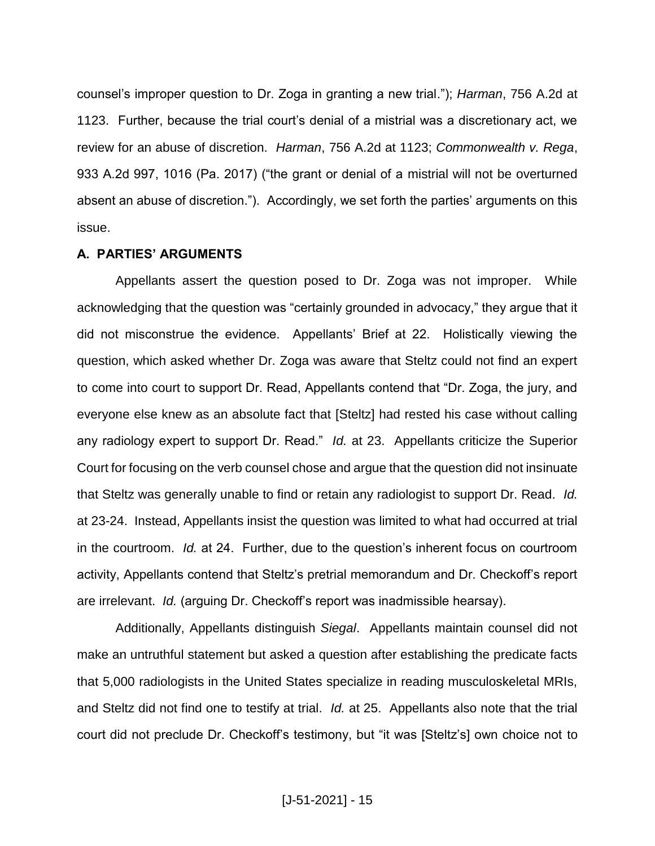counsel's improper question to Dr. Zoga in granting a new trial."); *Harman*, 756 A.2d at 1123. Further, because the trial court's denial of a mistrial was a discretionary act, we review for an abuse of discretion. *Harman*, 756 A.2d at 1123; *Commonwealth v. Rega*, 933 A.2d 997, 1016 (Pa. 2017) ("the grant or denial of a mistrial will not be overturned absent an abuse of discretion."). Accordingly, we set forth the parties' arguments on this issue.

## **A. PARTIES' ARGUMENTS**

Appellants assert the question posed to Dr. Zoga was not improper. While acknowledging that the question was "certainly grounded in advocacy," they argue that it did not misconstrue the evidence. Appellants' Brief at 22. Holistically viewing the question, which asked whether Dr. Zoga was aware that Steltz could not find an expert to come into court to support Dr. Read, Appellants contend that "Dr. Zoga, the jury, and everyone else knew as an absolute fact that [Steltz] had rested his case without calling any radiology expert to support Dr. Read." *Id.* at 23. Appellants criticize the Superior Court for focusing on the verb counsel chose and argue that the question did not insinuate that Steltz was generally unable to find or retain any radiologist to support Dr. Read. *Id.* at 23-24. Instead, Appellants insist the question was limited to what had occurred at trial in the courtroom. *Id.* at 24. Further, due to the question's inherent focus on courtroom activity, Appellants contend that Steltz's pretrial memorandum and Dr. Checkoff's report are irrelevant. *Id.* (arguing Dr. Checkoff's report was inadmissible hearsay).

Additionally, Appellants distinguish *Siegal*. Appellants maintain counsel did not make an untruthful statement but asked a question after establishing the predicate facts that 5,000 radiologists in the United States specialize in reading musculoskeletal MRIs, and Steltz did not find one to testify at trial. *Id.* at 25. Appellants also note that the trial court did not preclude Dr. Checkoff's testimony, but "it was [Steltz's] own choice not to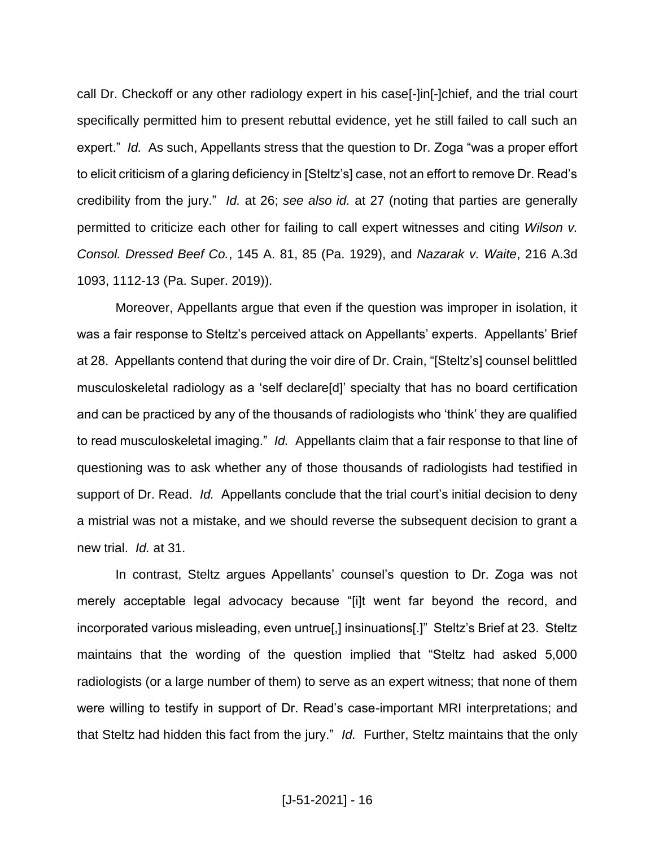call Dr. Checkoff or any other radiology expert in his case[-]in[-]chief, and the trial court specifically permitted him to present rebuttal evidence, yet he still failed to call such an expert." *Id.* As such, Appellants stress that the question to Dr. Zoga "was a proper effort to elicit criticism of a glaring deficiency in [Steltz's] case, not an effort to remove Dr. Read's credibility from the jury." *Id.* at 26; *see also id.* at 27 (noting that parties are generally permitted to criticize each other for failing to call expert witnesses and citing *Wilson v. Consol. Dressed Beef Co.*, 145 A. 81, 85 (Pa. 1929), and *Nazarak v. Waite*, 216 A.3d 1093, 1112-13 (Pa. Super. 2019)).

Moreover, Appellants argue that even if the question was improper in isolation, it was a fair response to Steltz's perceived attack on Appellants' experts. Appellants' Brief at 28. Appellants contend that during the voir dire of Dr. Crain, "[Steltz's] counsel belittled musculoskeletal radiology as a 'self declare[d]' specialty that has no board certification and can be practiced by any of the thousands of radiologists who 'think' they are qualified to read musculoskeletal imaging." *Id.* Appellants claim that a fair response to that line of questioning was to ask whether any of those thousands of radiologists had testified in support of Dr. Read. *Id.* Appellants conclude that the trial court's initial decision to deny a mistrial was not a mistake, and we should reverse the subsequent decision to grant a new trial. *Id.* at 31.

In contrast, Steltz argues Appellants' counsel's question to Dr. Zoga was not merely acceptable legal advocacy because "[i]t went far beyond the record, and incorporated various misleading, even untrue[,] insinuations[.]" Steltz's Brief at 23. Steltz maintains that the wording of the question implied that "Steltz had asked 5,000 radiologists (or a large number of them) to serve as an expert witness; that none of them were willing to testify in support of Dr. Read's case-important MRI interpretations; and that Steltz had hidden this fact from the jury." *Id.* Further, Steltz maintains that the only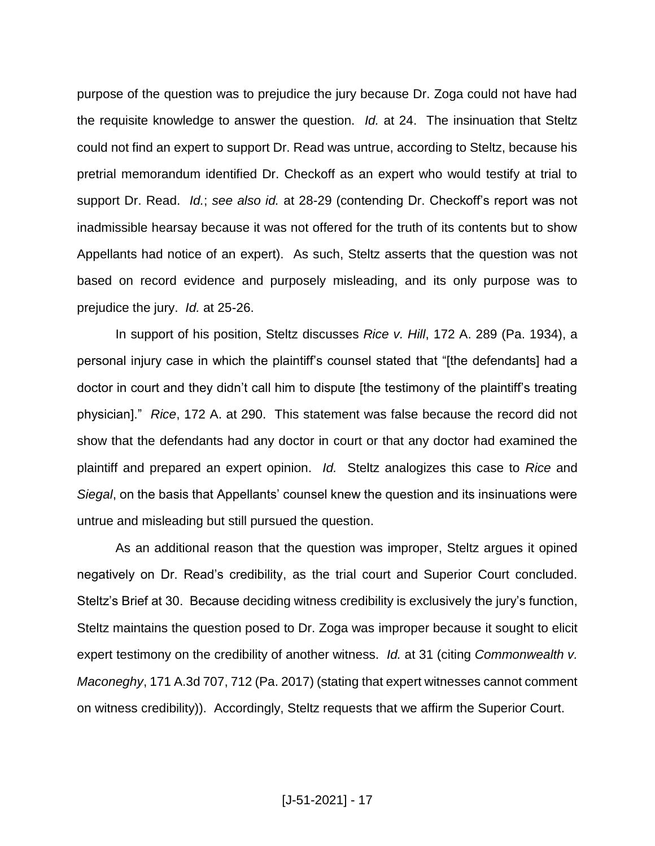purpose of the question was to prejudice the jury because Dr. Zoga could not have had the requisite knowledge to answer the question. *Id.* at 24. The insinuation that Steltz could not find an expert to support Dr. Read was untrue, according to Steltz, because his pretrial memorandum identified Dr. Checkoff as an expert who would testify at trial to support Dr. Read. *Id.*; *see also id.* at 28-29 (contending Dr. Checkoff's report was not inadmissible hearsay because it was not offered for the truth of its contents but to show Appellants had notice of an expert).As such, Steltz asserts that the question was not based on record evidence and purposely misleading, and its only purpose was to prejudice the jury. *Id.* at 25-26.

In support of his position, Steltz discusses *Rice v. Hill*, 172 A. 289 (Pa. 1934), a personal injury case in which the plaintiff's counsel stated that "[the defendants] had a doctor in court and they didn't call him to dispute [the testimony of the plaintiff's treating physician]." *Rice*, 172 A. at 290. This statement was false because the record did not show that the defendants had any doctor in court or that any doctor had examined the plaintiff and prepared an expert opinion. *Id.* Steltz analogizes this case to *Rice* and *Siegal*, on the basis that Appellants' counsel knew the question and its insinuations were untrue and misleading but still pursued the question.

As an additional reason that the question was improper, Steltz argues it opined negatively on Dr. Read's credibility, as the trial court and Superior Court concluded. Steltz's Brief at 30. Because deciding witness credibility is exclusively the jury's function, Steltz maintains the question posed to Dr. Zoga was improper because it sought to elicit expert testimony on the credibility of another witness. *Id.* at 31 (citing *Commonwealth v. Maconeghy*, 171 A.3d 707, 712 (Pa. 2017) (stating that expert witnesses cannot comment on witness credibility)). Accordingly, Steltz requests that we affirm the Superior Court.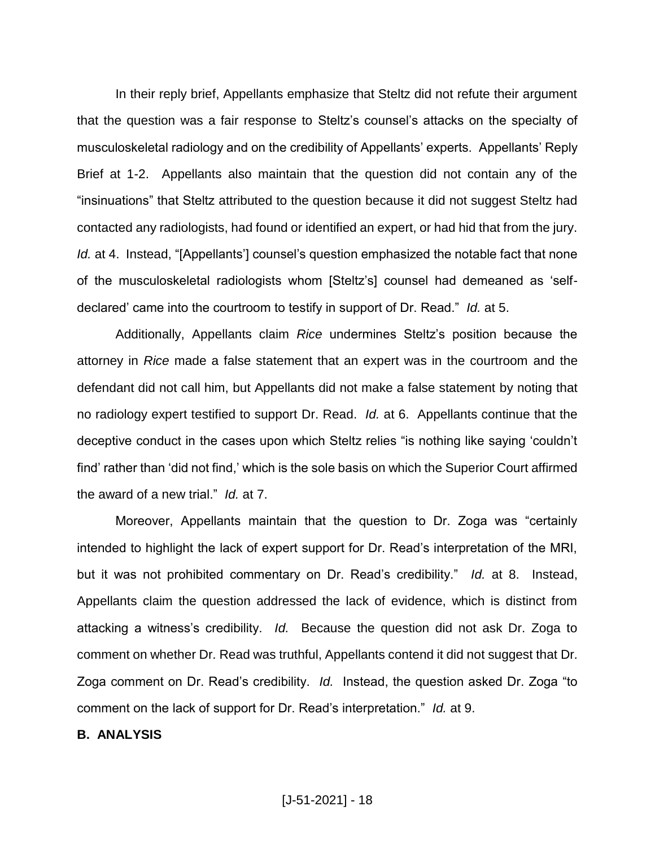In their reply brief, Appellants emphasize that Steltz did not refute their argument that the question was a fair response to Steltz's counsel's attacks on the specialty of musculoskeletal radiology and on the credibility of Appellants' experts. Appellants' Reply Brief at 1-2. Appellants also maintain that the question did not contain any of the "insinuations" that Steltz attributed to the question because it did not suggest Steltz had contacted any radiologists, had found or identified an expert, or had hid that from the jury. *Id.* at 4. Instead, "[Appellants'] counsel's question emphasized the notable fact that none of the musculoskeletal radiologists whom [Steltz's] counsel had demeaned as 'selfdeclared' came into the courtroom to testify in support of Dr. Read." *Id.* at 5.

Additionally, Appellants claim *Rice* undermines Steltz's position because the attorney in *Rice* made a false statement that an expert was in the courtroom and the defendant did not call him, but Appellants did not make a false statement by noting that no radiology expert testified to support Dr. Read. *Id.* at 6. Appellants continue that the deceptive conduct in the cases upon which Steltz relies "is nothing like saying 'couldn't find' rather than 'did not find,' which is the sole basis on which the Superior Court affirmed the award of a new trial." *Id.* at 7.

Moreover, Appellants maintain that the question to Dr. Zoga was "certainly intended to highlight the lack of expert support for Dr. Read's interpretation of the MRI, but it was not prohibited commentary on Dr. Read's credibility." *Id.* at 8. Instead, Appellants claim the question addressed the lack of evidence, which is distinct from attacking a witness's credibility. *Id.* Because the question did not ask Dr. Zoga to comment on whether Dr. Read was truthful, Appellants contend it did not suggest that Dr. Zoga comment on Dr. Read's credibility. *Id.* Instead, the question asked Dr. Zoga "to comment on the lack of support for Dr. Read's interpretation." *Id.* at 9.

#### **B. ANALYSIS**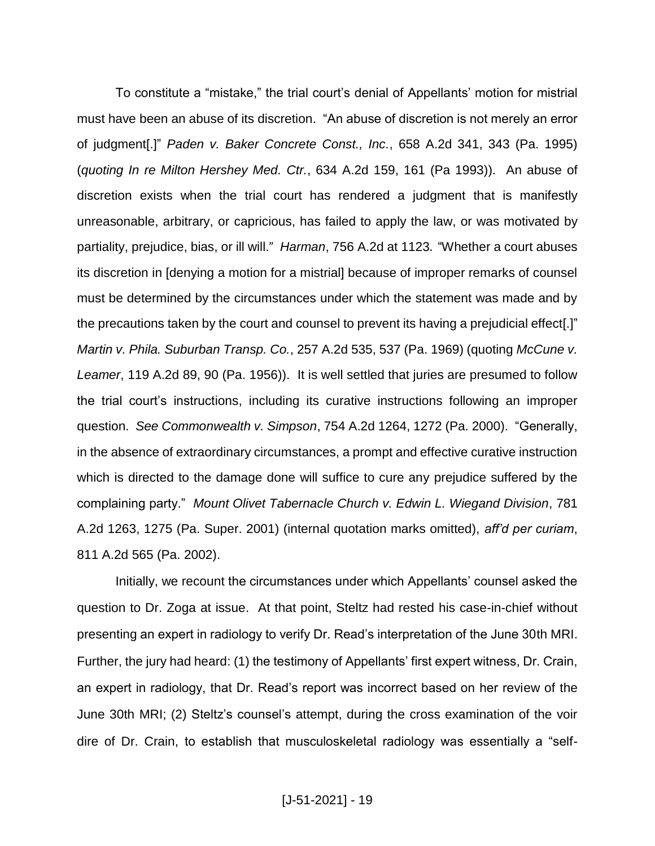To constitute a "mistake," the trial court's denial of Appellants' motion for mistrial must have been an abuse of its discretion. "An abuse of discretion is not merely an error of judgment[.]" *Paden v. Baker Concrete Const., Inc.*, 658 A.2d 341, 343 (Pa. 1995) (*quoting In re Milton Hershey Med. Ctr.*, 634 A.2d 159, 161 (Pa 1993)). An abuse of discretion exists when the trial court has rendered a judgment that is manifestly unreasonable, arbitrary, or capricious, has failed to apply the law, or was motivated by partiality, prejudice, bias, or ill will." *Harman*, 756 A.2d at 1123. "Whether a court abuses its discretion in [denying a motion for a mistrial] because of improper remarks of counsel must be determined by the circumstances under which the statement was made and by the precautions taken by the court and counsel to prevent its having a prejudicial effect[.]" *Martin v. Phila. Suburban Transp. Co.*, 257 A.2d 535, 537 (Pa. 1969) (quoting *McCune v. Leamer*, 119 A.2d 89, 90 (Pa. 1956)). It is well settled that juries are presumed to follow the trial court's instructions, including its curative instructions following an improper question. *See Commonwealth v. Simpson*, 754 A.2d 1264, 1272 (Pa. 2000). "Generally, in the absence of extraordinary circumstances, a prompt and effective curative instruction which is directed to the damage done will suffice to cure any prejudice suffered by the complaining party." *Mount Olivet Tabernacle Church v. Edwin L. Wiegand Division*, 781 A.2d 1263, 1275 (Pa. Super. 2001) (internal quotation marks omitted), *aff'd per curiam*, 811 A.2d 565 (Pa. 2002).

Initially, we recount the circumstances under which Appellants' counsel asked the question to Dr. Zoga at issue. At that point, Steltz had rested his case-in-chief without presenting an expert in radiology to verify Dr. Read's interpretation of the June 30th MRI. Further, the jury had heard: (1) the testimony of Appellants' first expert witness, Dr. Crain, an expert in radiology, that Dr. Read's report was incorrect based on her review of the June 30th MRI; (2) Steltz's counsel's attempt, during the cross examination of the voir dire of Dr. Crain, to establish that musculoskeletal radiology was essentially a "self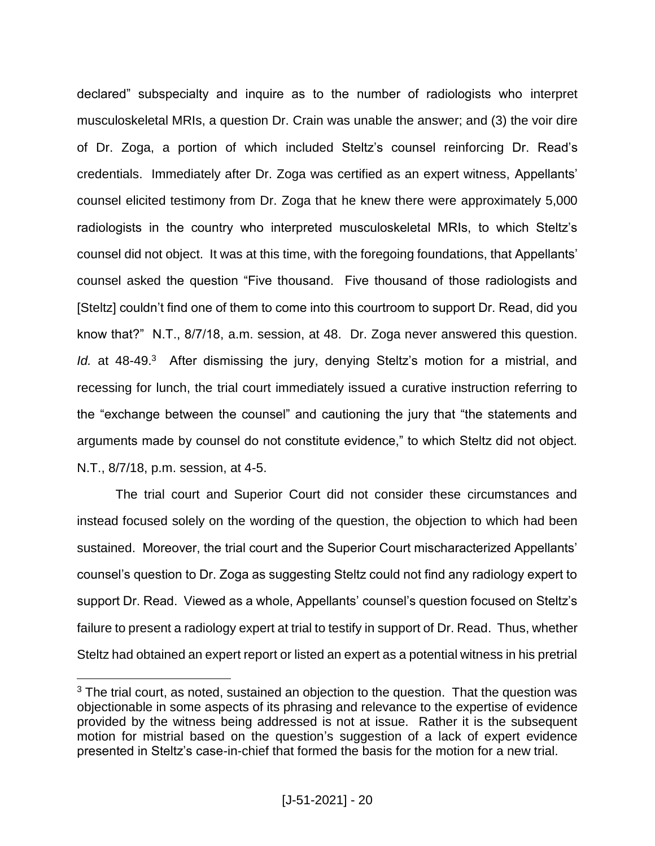declared" subspecialty and inquire as to the number of radiologists who interpret musculoskeletal MRIs, a question Dr. Crain was unable the answer; and (3) the voir dire of Dr. Zoga, a portion of which included Steltz's counsel reinforcing Dr. Read's credentials. Immediately after Dr. Zoga was certified as an expert witness, Appellants' counsel elicited testimony from Dr. Zoga that he knew there were approximately 5,000 radiologists in the country who interpreted musculoskeletal MRIs, to which Steltz's counsel did not object. It was at this time, with the foregoing foundations, that Appellants' counsel asked the question "Five thousand. Five thousand of those radiologists and [Steltz] couldn't find one of them to come into this courtroom to support Dr. Read, did you know that?" N.T., 8/7/18, a.m. session, at 48. Dr. Zoga never answered this question. Id. at 48-49.<sup>3</sup> After dismissing the jury, denying Steltz's motion for a mistrial, and recessing for lunch, the trial court immediately issued a curative instruction referring to the "exchange between the counsel" and cautioning the jury that "the statements and arguments made by counsel do not constitute evidence," to which Steltz did not object. N.T., 8/7/18, p.m. session, at 4-5.

The trial court and Superior Court did not consider these circumstances and instead focused solely on the wording of the question, the objection to which had been sustained. Moreover, the trial court and the Superior Court mischaracterized Appellants' counsel's question to Dr. Zoga as suggesting Steltz could not find any radiology expert to support Dr. Read. Viewed as a whole, Appellants' counsel's question focused on Steltz's failure to present a radiology expert at trial to testify in support of Dr. Read. Thus, whether Steltz had obtained an expert report or listed an expert as a potential witness in his pretrial

 $\overline{a}$ 

<sup>&</sup>lt;sup>3</sup> The trial court, as noted, sustained an objection to the question. That the question was objectionable in some aspects of its phrasing and relevance to the expertise of evidence provided by the witness being addressed is not at issue. Rather it is the subsequent motion for mistrial based on the question's suggestion of a lack of expert evidence presented in Steltz's case-in-chief that formed the basis for the motion for a new trial.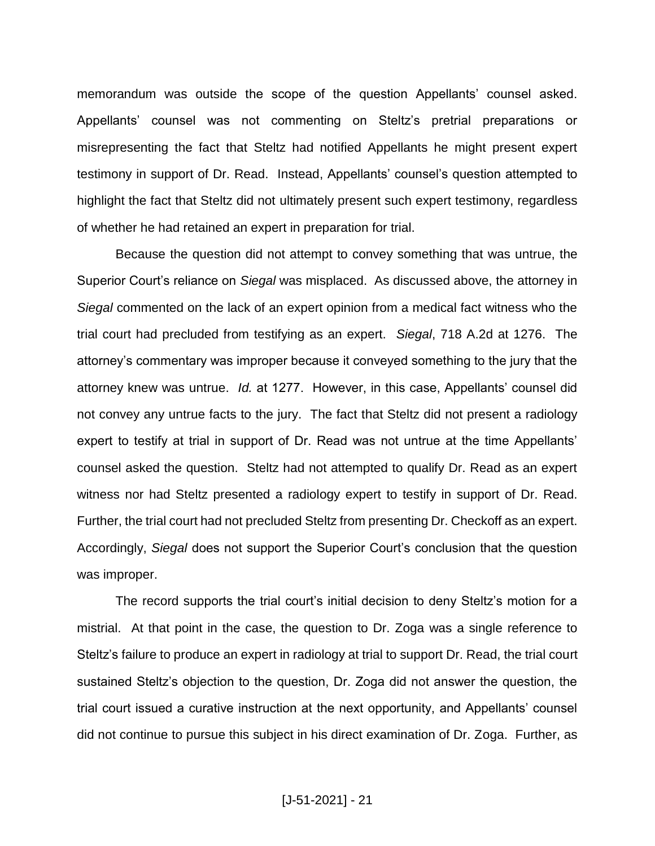memorandum was outside the scope of the question Appellants' counsel asked. Appellants' counsel was not commenting on Steltz's pretrial preparations or misrepresenting the fact that Steltz had notified Appellants he might present expert testimony in support of Dr. Read. Instead, Appellants' counsel's question attempted to highlight the fact that Steltz did not ultimately present such expert testimony, regardless of whether he had retained an expert in preparation for trial.

Because the question did not attempt to convey something that was untrue, the Superior Court's reliance on *Siegal* was misplaced. As discussed above, the attorney in *Siegal* commented on the lack of an expert opinion from a medical fact witness who the trial court had precluded from testifying as an expert. *Siegal*, 718 A.2d at 1276. The attorney's commentary was improper because it conveyed something to the jury that the attorney knew was untrue. *Id.* at 1277. However, in this case, Appellants' counsel did not convey any untrue facts to the jury. The fact that Steltz did not present a radiology expert to testify at trial in support of Dr. Read was not untrue at the time Appellants' counsel asked the question. Steltz had not attempted to qualify Dr. Read as an expert witness nor had Steltz presented a radiology expert to testify in support of Dr. Read. Further, the trial court had not precluded Steltz from presenting Dr. Checkoff as an expert. Accordingly, *Siegal* does not support the Superior Court's conclusion that the question was improper.

The record supports the trial court's initial decision to deny Steltz's motion for a mistrial. At that point in the case, the question to Dr. Zoga was a single reference to Steltz's failure to produce an expert in radiology at trial to support Dr. Read, the trial court sustained Steltz's objection to the question, Dr. Zoga did not answer the question, the trial court issued a curative instruction at the next opportunity, and Appellants' counsel did not continue to pursue this subject in his direct examination of Dr. Zoga. Further, as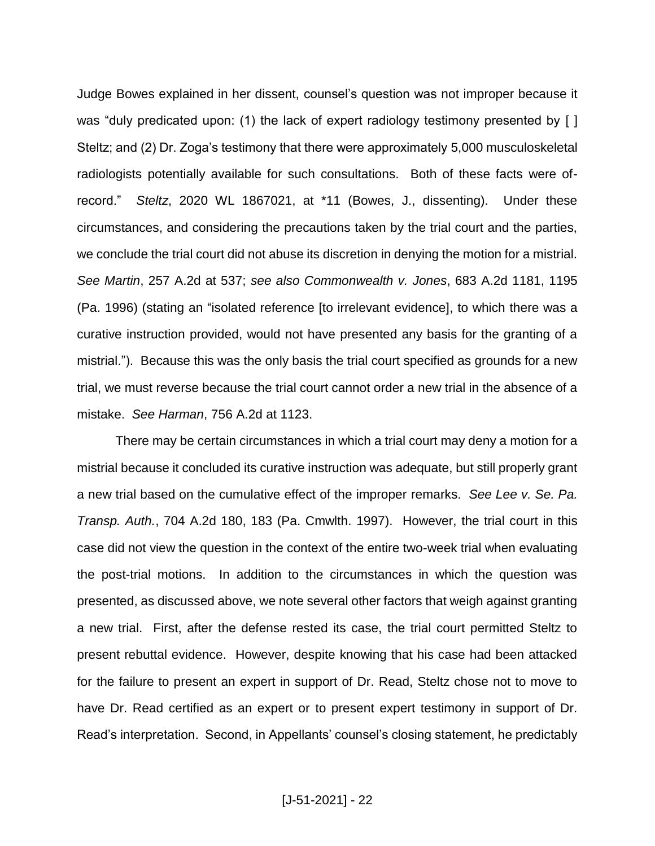Judge Bowes explained in her dissent, counsel's question was not improper because it was "duly predicated upon: (1) the lack of expert radiology testimony presented by [] Steltz; and (2) Dr. Zoga's testimony that there were approximately 5,000 musculoskeletal radiologists potentially available for such consultations. Both of these facts were ofrecord." *Steltz*, 2020 WL 1867021, at \*11 (Bowes, J., dissenting). Under these circumstances, and considering the precautions taken by the trial court and the parties, we conclude the trial court did not abuse its discretion in denying the motion for a mistrial. *See Martin*, 257 A.2d at 537; *see also Commonwealth v. Jones*, 683 A.2d 1181, 1195 (Pa. 1996) (stating an "isolated reference [to irrelevant evidence], to which there was a curative instruction provided, would not have presented any basis for the granting of a mistrial."). Because this was the only basis the trial court specified as grounds for a new trial, we must reverse because the trial court cannot order a new trial in the absence of a mistake. *See Harman*, 756 A.2d at 1123.

There may be certain circumstances in which a trial court may deny a motion for a mistrial because it concluded its curative instruction was adequate, but still properly grant a new trial based on the cumulative effect of the improper remarks. *See Lee v. Se. Pa. Transp. Auth.*, 704 A.2d 180, 183 (Pa. Cmwlth. 1997). However, the trial court in this case did not view the question in the context of the entire two-week trial when evaluating the post-trial motions. In addition to the circumstances in which the question was presented, as discussed above, we note several other factors that weigh against granting a new trial. First, after the defense rested its case, the trial court permitted Steltz to present rebuttal evidence. However, despite knowing that his case had been attacked for the failure to present an expert in support of Dr. Read, Steltz chose not to move to have Dr. Read certified as an expert or to present expert testimony in support of Dr. Read's interpretation. Second, in Appellants' counsel's closing statement, he predictably